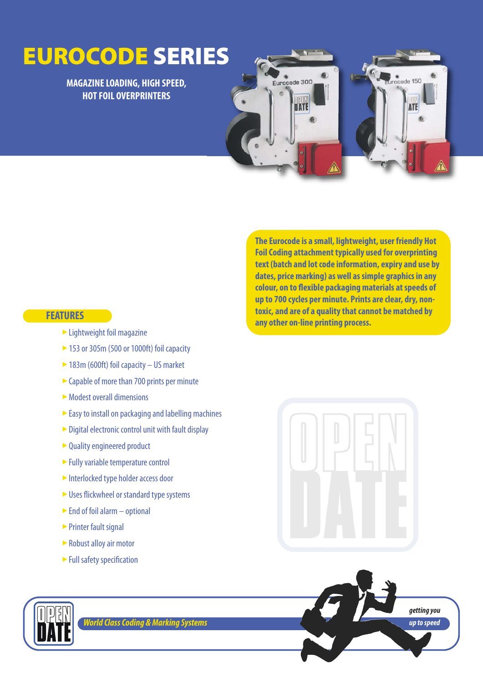# **EUROCODE SERIES**

## **MAGAZINE LOADING, HIGH SPEED, HOT FOIL OVERPRINTERS**



**The Eurocode is a small, lightweight, user friendly Hot Foil Coding attachment typically used for overprinting text (batch and lot code information, expiry and use by dates, price marking) as well as simple graphics in any colour, on to flexible packaging materials at speeds of up to 700 cycles per minute. Prints are clear, dry, nontoxic, and are of a quality that cannot be matched by any other on-line printing process.**

#### **FEATURES**

- Lightweight foil magazine ‣
- ▶ 153 or 305m (500 or 1000ft) foil capacity
- ► 183m (600ft) foil capacity US market
- $\triangleright$  Capable of more than 700 prints per minute
- Modest overall dimensions ‣
- Easy to install on packaging and labelling machines
- ► Digital electronic control unit with fault display
- ► Quality engineered product
- ► Fully variable temperature control
- Interlocked type holder access door
- ► Uses flickwheel or standard type systems
- $\blacktriangleright$  End of foil alarm optional
- ► Printer fault signal
- ► Robust alloy air motor
- ► Full safety specification







*World Class Coding & Marking Systems*